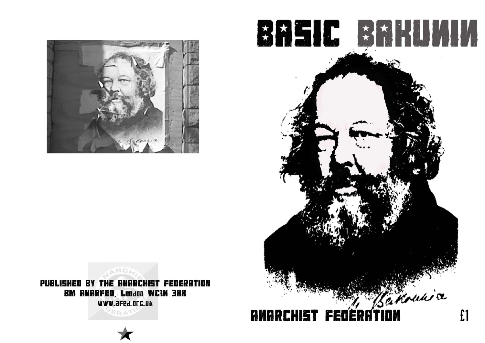



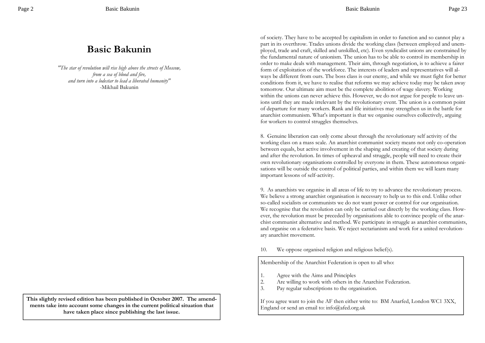# **Basic Bakunin**

*"The star of revolution will rise high above the streets of Moscow, from a sea of blood and fire, and turn into a lodestar to lead a liberated humanity"* -Mikhail Bakunin

**This slightly revised edition has been published in October 2007. The amendments take into account some changes in the current political situation that have taken place since publishing the last issue.** 

of society. They have to be accepted by capitalism in order to function and so cannot play a part in its overthrow. Trades unions divide the working class (between employed and unemployed, trade and craft, skilled and unskilled, etc). Even syndicalist unions are constrained by the fundamental nature of unionism. The union has to be able to control its membership in order to make deals with management. Their aim, through negotiation, is to achieve a fairer form of exploitation of the workforce. The interests of leaders and representatives will always be different from ours. The boss class is our enemy, and while we must fight for better conditions from it, we have to realise that reforms we may achieve today may be taken away tomorrow. Our ultimate aim must be the complete abolition of wage slavery. Working within the unions can never achieve this. However, we do not argue for people to leave unions until they are made irrelevant by the revolutionary event. The union is a common point of departure for many workers. Rank and file initiatives may strengthen us in the battle for anarchist communism. What's important is that we organise ourselves collectively, arguing for workers to control struggles themselves.

8. Genuine liberation can only come about through the revolutionary self activity of the working class on a mass scale. An anarchist communist society means not only co-operation between equals, but active involvement in the shaping and creating of that society during and after the revolution. In times of upheaval and struggle, people will need to create their own revolutionary organisations controlled by everyone in them. These autonomous organisations will be outside the control of political parties, and within them we will learn many important lessons of self-activity.

9. As anarchists we organise in all areas of life to try to advance the revolutionary process. We believe a strong anarchist organisation is necessary to help us to this end. Unlike other so-called socialists or communists we do not want power or control for our organisation. We recognise that the revolution can only be carried out directly by the working class. However, the revolution must be preceded by organisations able to convince people of the anarchist communist alternative and method. We participate in struggle as anarchist communists, and organise on a federative basis. We reject sectarianism and work for a united revolutionary anarchist movement.

#### 10. We oppose organised religion and religious belief(s).

Membership of the Anarchist Federation is open to all who:

- 1. Agree with the Aims and Principles
- 2. Are willing to work with others in the Anarchist Federation.
- 3. Pay regular subscriptions to the organisation.

If you agree want to join the AF then either write to: BM Anarfed, London WC1 3XX, England or send an email to: info@afed.org.uk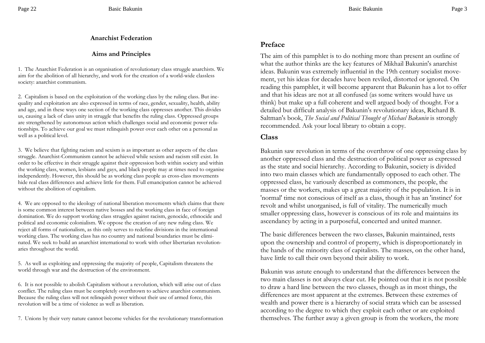#### **Anarchist Federation**

#### **Aims and Principles**

1. The Anarchist Federation is an organisation of revolutionary class struggle anarchists. We aim for the abolition of all hierarchy, and work for the creation of a world-wide classless society: anarchist communism.

2. Capitalism is based on the exploitation of the working class by the ruling class. But inequality and exploitation are also expressed in terms of race, gender, sexuality, health, ability and age, and in these ways one section of the working class oppresses another. This divides us, causing a lack of class unity in struggle that benefits the ruling class. Oppressed groups are strengthened by autonomous action which challenges social and economic power relationships. To achieve our goal we must relinquish power over each other on a personal as well as a political level.

3. We believe that fighting racism and sexism is as important as other aspects of the class struggle. Anarchist-Communism cannot be achieved while sexism and racism still exist. In order to be effective in their struggle against their oppression both within society and within the working class, women, lesbians and gays, and black people may at times need to organise independently. However, this should be as working class people as cross-class movements hide real class differences and achieve little for them. Full emancipation cannot be achieved without the abolition of capitalism.

4. We are opposed to the ideology of national liberation movements which claims that there is some common interest between native bosses and the working class in face of foreign domination. We do support working class struggles against racism, genocide, ethnocide and political and economic colonialism. We oppose the creation of any new ruling class. We reject all forms of nationalism, as this only serves to redefine divisions in the international working class. The working class has no country and national boundaries must be eliminated. We seek to build an anarchist international to work with other libertarian revolutionaries throughout the world.

5. As well as exploiting and oppressing the majority of people, Capitalism threatens the world through war and the destruction of the environment.

6. It is not possible to abolish Capitalism without a revolution, which will arise out of class conflict. The ruling class must be completely overthrown to achieve anarchist communism. Because the ruling class will not relinquish power without their use of armed force, this revolution will be a time of violence as well as liberation.

7. Unions by their very nature cannot become vehicles for the revolutionary transformation

# **Preface**

The aim of this pamphlet is to do nothing more than present an outline of what the author thinks are the key features of Mikhail Bakunin's anarchist ideas. Bakunin was extremely influential in the 19th century socialist movement, yet his ideas for decades have been reviled, distorted or ignored. On reading this pamphlet, it will become apparent that Bakunin has a lot to offer and that his ideas are not at all confused (as some writers would have us think) but make up a full coherent and well argued body of thought. For a detailed but difficult analysis of Bakunin's revolutionary ideas, Richard B. Saltman's book, *The Social and Political Thought of Michael Bakunin* is strongly recommended. Ask your local library to obtain a copy.

# **Class**

Bakunin saw revolution in terms of the overthrow of one oppressing class by another oppressed class and the destruction of political power as expressed as the state and social hierarchy. According to Bakunin, society is divided into two main classes which are fundamentally opposed to each other. The oppressed class, he variously described as commoners, the people, the masses or the workers, makes up a great majority of the population. It is in 'normal' time not conscious of itself as a class, though it has an 'instinct' for revolt and whilst unorganised, is full of vitality. The numerically much smaller oppressing class, however is conscious of its role and maintains its ascendancy by acting in a purposeful, concerted and united manner.

The basic differences between the two classes, Bakunin maintained, rests upon the ownership and control of property, which is disproportionately in the hands of the minority class of capitalists. The masses, on the other hand, have little to call their own beyond their ability to work.

Bakunin was astute enough to understand that the differences between the two main classes is not always clear cut. He pointed out that it is not possible to draw a hard line between the two classes, though as in most things, the differences are most apparent at the extremes. Between these extremes of wealth and power there is a hierarchy of social strata which can be assessed according to the degree to which they exploit each other or are exploited themselves. The further away a given group is from the workers, the more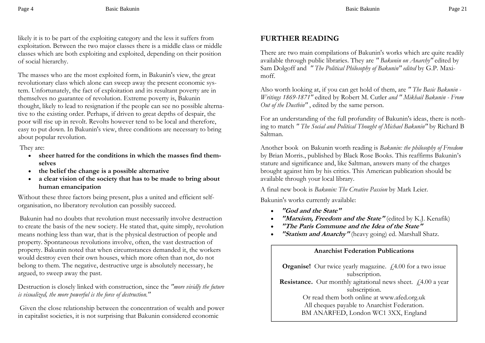likely it is to be part of the exploiting category and the less it suffers from exploitation. Between the two major classes there is a middle class or middle classes which are both exploiting and exploited, depending on their position of social hierarchy.

The masses who are the most exploited form, in Bakunin's view, the great revolutionary class which alone can sweep away the present economic system. Unfortunately, the fact of exploitation and its resultant poverty are in themselves no guarantee of revolution. Extreme poverty is, Bakunin thought, likely to lead to resignation if the people can see no possible alternative to the existing order. Perhaps, if driven to great depths of despair, the poor will rise up in revolt. Revolts however tend to be local and therefore, easy to put down. In Bakunin's view, three conditions are necessary to bring about popular revolution.

They are:

- **sheer hatred for the conditions in which the masses find themselves**
- **the belief the change is a possible alternative**
- **a clear vision of the society that has to be made to bring about human emancipation**

Without these three factors being present, plus a united and efficient selforganisation, no liberatory revolution can possibly succeed.

 Bakunin had no doubts that revolution must necessarily involve destruction to create the basis of the new society. He stated that, quite simply, revolution means nothing less than war, that is the physical destruction of people and property. Spontaneous revolutions involve, often, the vast destruction of property. Bakunin noted that when circumstances demanded it, the workers would destroy even their own houses, which more often than not, do not belong to them. The negative, destructive urge is absolutely necessary, he argued, to sweep away the past.

Destruction is closely linked with construction, since the *"more vividly the future is visualized, the more powerful is the force of destruction."*

 Given the close relationship between the concentration of wealth and power in capitalist societies, it is not surprising that Bakunin considered economic

# **FURTHER READING**

There are two main compilations of Bakunin's works which are quite readily available through public libraries. They are *" Bakunin on Anarchy"* edited by Sam Dolgoff and *" The Political Philosophy of Bakunin" edited* by G.P. Maximoff.

Also worth looking at, if you can get hold of them, are *" The Basic Bakunin - Writings 1869-1871"* edited by Robert M. Cutler *and " Mikhail Bakunin - From Out of the Dustbin"* , edited by the same person.

For an understanding of the full profundity of Bakunin's ideas, there is nothing to match *" The Social and Political Thought of Michael Bakunin"* by Richard B Saltman.

Another book on Bakunin worth reading is *Bakunin: the philosophy of Freedom* by Brian Morris., published by Black Rose Books. This reaffirms Bakunin's stature and significance and, like Saltman, answers many of the charges brought against him by his critics. This American publication should be available through your local library.

A final new book is *Bakunin: The Creative Passion* by Mark Leier.

Bakunin's works currently available:

- **"God and the State"**
- **"Marxism, Freedom and the State"** (edited by K.J. Kenafik)
- **"The Paris Commune and the Idea of the State"**
- "Statism and Anarchy" (heavy going) ed. Marshall Shatz.

## **Anarchist Federation Publications**

**Organise!** Our twice yearly magazine.  $\dot{\gamma}$  4.00 for a two issue subscription. **Resistance.** Our monthly agitational news sheet.  $\dot{\gamma}$  4.00 a year subscription. Or read them both online at www.afed.org.uk

All cheques payable to Anarchist Federation. BM ANARFED, London WC1 3XX, England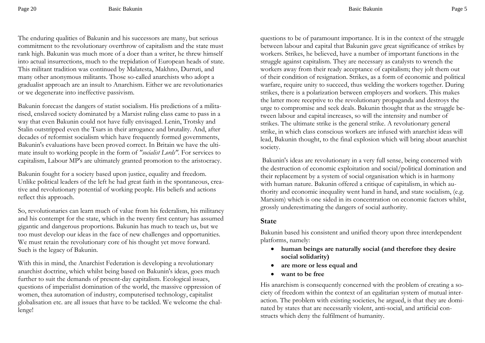The enduring qualities of Bakunin and his successors are many, but serious commitment to the revolutionary overthrow of capitalism and the state must rank high. Bakunin was much more of a doer than a writer, he threw himself into actual insurrections, much to the trepidation of European heads of state. This militant tradition was continued by Malatesta, Makhno, Durruti, and many other anonymous militants. Those so-called anarchists who adopt a gradualist approach are an insult to Anarchism. Either we are revolutionaries or we degenerate into ineffective passivism.

Bakunin forecast the dangers of statist socialism. His predictions of a militarised, enslaved society dominated by a Marxist ruling class came to pass in a way that even Bakunin could not have fully envisaged. Lenin, Trotsky and Stalin outstripped even the Tsars in their arrogance and brutality. And, after decades of reformist socialism which have frequently formed governments, Bakunin's evaluations have been proved correct. In Britain we have the ultimate insult to working people in the form of *"socialist Lords".* For services to capitalism, Labour MP's are ultimately granted promotion to the aristocracy.

Bakunin fought for a society based upon justice, equality and freedom. Unlike political leaders of the left he had great faith in the spontaneous, creative and revolutionary potential of working people. His beliefs and actions reflect this approach.

So, revolutionaries can learn much of value from his federalism, his militancy and his contempt for the state, which in the twenty first century has assumed gigantic and dangerous proportions. Bakunin has much to teach us, but we too must develop our ideas in the face of new challenges and opportunities. We must retain the revolutionary core of his thought yet move forward. Such is the legacy of Bakunin.

With this in mind, the Anarchist Federation is developing a revolutionary anarchist doctrine, which whilst being based on Bakunin's ideas, goes much further to suit the demands of present-day capitalism. Ecological issues, questions of imperialist domination of the world, the massive oppression of women, thea automation of industry, computerised technology, capitalist globalisation etc. are all issues that have to be tackled. We welcome the challenge!

questions to be of paramount importance. It is in the context of the struggle between labour and capital that Bakunin gave great significance of strikes by workers. Strikes, he believed, have a number of important functions in the struggle against capitalism. They are necessary as catalysts to wrench the workers away from their ready acceptance of capitalism; they jolt them out of their condition of resignation. Strikes, as a form of economic and political warfare, require unity to succeed, thus welding the workers together. During strikes, there is a polarization between employers and workers. This makes the latter more receptive to the revolutionary propaganda and destroys the urge to compromise and seek deals. Bakunin thought that as the struggle between labour and capital increases, so will the intensity and number of strikes. The ultimate strike is the general strike. A revolutionary general strike, in which class conscious workers are infused with anarchist ideas will lead, Bakunin thought, to the final explosion which will bring about anarchist society.

 Bakunin's ideas are revolutionary in a very full sense, being concerned with the destruction of economic exploitation and social/political domination and their replacement by a system of social organisation which is in harmony with human nature. Bakunin offered a critique of capitalism, in which authority and economic inequality went hand in hand, and state socialism, (e.g. Marxism) which is one sided in its concentration on economic factors whilst, grossly underestimating the dangers of social authority.

#### **State**

Bakunin based his consistent and unified theory upon three interdependent platforms, namely:

- **human beings are naturally social (and therefore they desire social solidarity)**
- **are more or less equal and**
- **want to be free**

His anarchism is consequently concerned with the problem of creating a society of freedom within the context of an egalitarian system of mutual interaction. The problem with existing societies, he argued, is that they are dominated by states that are necessarily violent, anti-social, and artificial constructs which deny the fulfilment of humanity.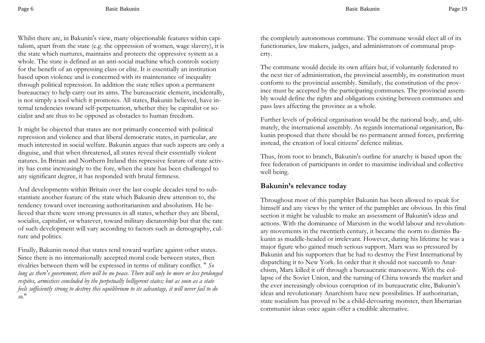Whilst there are, in Bakunin's view, many objectionable features within capitalism, apart from the state (e.g. the oppression of women, wage slavery), it is the state which nurtures, maintains and protects the oppressive system as a whole. The state is defined as an anti-social machine which controls society for the benefit of an oppressing class or elite. It is essentially an institution based upon violence and is concerned with its maintenance of inequality through political repression. In addition the state relies upon a permanent bureaucracy to help carry out its aims. The bureaucratic element, incidentally, is not simply a tool which it promotes. All states, Bakunin believed, have internal tendencies toward self-perpetuation, whether they be capitalist or socialist and are thus to be opposed as obstacles to human freedom.

It might be objected that states are not primarily concerned with political repression and violence and that liberal democratic states, in particular, are much interested in social welfare. Bakunin argues that such aspects are only a disguise, and that when threatened, all states reveal their essentially violent natures. In Britain and Northern Ireland this repressive feature of state activity has come increasingly to the fore, when the state has been challenged to any significant degree, it has responded with brutal firmness.

And developments within Britain over the last couple decades tend to substantiate another feature of the state which Bakunin drew attention to, the tendency toward over increasing authoritarianism and absolutism. He believed that there were strong pressures in all states, whether they are liberal, socialist, capitalist, or whatever, toward military dictatorship but that the rate of such development will vary according to factors such as demography, culture and politics.

Finally, Bakunin noted that states tend toward warfare against other states. Since there is no internationally accepted moral code between states, then rivalries between them will be expressed in terms of military conflict. " *So long as there's government, there will be no peace. There will only be more or less prolonged respites, armistices concluded by the perpetually belligerent states; but as soon as a state feels sufficiently strong to destroy this equilibrium to its advantage, it will never fail to do so.*"

the completely autonomous commune. The commune would elect all of its functionaries, law makers, judges, and administrators of communal property.

The commune would decide its own affairs but, if voluntarily federated to the next tier of administration, the provincial assembly, its constitution must conform to the provincial assembly. Similarly, the constitution of the province must be accepted by the participating communes. The provincial assembly would define the rights and obligations existing between communes and pass laws affecting the province as a whole.

Further levels of political organisation would be the national body, and, ultimately, the international assembly. As regards international organisation, Bakunin proposed that there should be no permanent armed forces, preferring instead, the creation of local citizens' defence militias.

Thus, from root to branch, Bakunin's outline for anarchy is based upon the free federation of participants in order to maximise individual and collective well being.

# **Bakunin's relevance today**

Throughout most of this pamphlet Bakunin has been allowed to speak for himself and any views by the writer of the pamphlet are obvious. In this final section it might be valuable to make an assessment of Bakunin's ideas and actions. With the dominance of Marxism in the world labour and revolutionary movements in the twentieth century, it became the norm to dismiss Bakunin as muddle-headed or irrelevant. However, during his lifetime he was a major figure who gained much serious support. Marx was so pressured by Bakunin and his supporters that he had to destroy the First International by dispatching it to New York. In order that it should not succumb to Anarchism, Marx killed it off through a bureaucratic manoeuvre. With the collapse of the Soviet Union, and the turning of China towards the market and the ever increasingly obvious corruption of its bureaucratic elite, Bakunin's ideas and revolutionary Anarchism have new possibilities. If authoritarian, state socialism has proved to be a child-devouring monster, then libertarian communist ideas once again offer a credible alternative.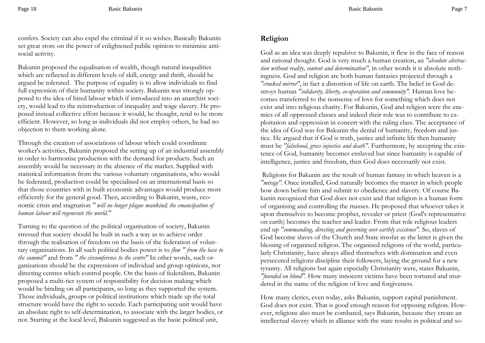confers. Society can also expel the criminal if it so wishes. Basically Bakunin set great store on the power of enlightened public opinion to minimise antisocial activity.

Bakunin proposed the equalisation of wealth, though natural inequalities which are reflected in different levels of skill, energy and thrift, should he argued be tolerated. The purpose of equality is to allow individuals to find full expression of their humanity within society. Bakunin was strongly opposed to the idea of hired labour which if introduced into an anarchist society, would lead to the reintroduction of inequality and wage slavery. He proposed instead collective effort because it would, he thought, tend to be more efficient. However, so long as individuals did not employ others, he had no objection to them working alone.

Through the creation of associations of labour which could coordinate worker's activities, Bakunin proposed the setting up of an industrial assembly in order to harmonise production with the demand for products. Such an assembly would be necessary in the absence of the market. Supplied with statistical information from the various voluntary organisations, who would be federated, production could be specialised on an international basis so that those countries with in built economic advantages would produce most efficiently for the general good. Then, according to Bakunin, waste, economic crisis and stagnation *" will no longer plague mankind; the emancipation of human labour will regenerate the world."*

Turning to the question of the political organisation of society, Bakunin stressed that society should be built in such a way as to achieve order through the realisation of freedom on the basis of the federation of voluntary organisations. In all such political bodies power is to *flow " from the base to the summit"* and from *" the circumference to the centre"* In other words, such organizations should be the expressions of individual and group opinions, not directing centres which control people. On the basis of federalism, Bakunin proposed a multi-tier system of responsibility for decision making which would be binding on all participants, so long as they supported the system. Those individuals, groups or political institutions which made up the total structure would have the right to secede. Each participating unit would have an absolute right to self-determination, to associate with the larger bodies, or not. Starting at the local level, Bakunin suggested as the basic political unit,

# **Religion**

God as an idea was deeply repulsive to Bakunin, it flew in the face of reason and rational thought. God is very much a human creation, an *"absolute abstraction without reality, content and determination"*, in other words it is absolute nothingness. God and religion are both human fantasies projected through a *"crooked mirror"*, in fact a distortion of life on earth. The belief in God destroys human *"solidarity, liberty, co-operation and community".* Human love becomes transferred to the nonsense of love for something which does not exist and into religious charity. For Bakunin, God and religion were the enemies of all oppressed classes and indeed their role was to contribute to exploitation and oppression in concert with the ruling class. The acceptance of the idea of God was for Bakunin the denial of humanity, freedom and justice. He argued that if God is truth, justice and infinite life then humanity must be *"falsehood, gross injustice and death".* Furthermore, by accepting the existence of God, humanity becomes enslaved but since humanity is capable of intelligence, justice and freedom, then God does necessarily not exist.

 Religions for Bakunin are the result of human fantasy in which heaven is a *"mirage".* Once installed, God naturally becomes the master in which people bow down before him and submit to obedience and slavery. Of course Bakunin recognized that God does not exist and that religion is a human form of organising and controlling the masses. He proposed that whoever takes it upon themselves to become prophet, revealer or priest (God's representative on earth) becomes the teacher and leader. From that role religious leaders end up *"commanding, directing and governing over earthly existence"*. So, slaves of God become slaves of the Church and State insofar as the latter is given the blessing of organised religion. The organised religions of the world, particularly Christianity, have always allied themselves with domination and even persecuted religions discipline their followers, laying the ground for a new tyranny. All religions but again especially Christianity were, states Bakunin, *"founded on blood"*. How many innocent victims have been tortured and murdered in the name of the religion of love and forgiveness.

How many clerics, even today, asks Bakunin, support capital punishment. God does not exist. That is good enough reason for opposing religion. However, religions also must be combated, says Bakunin, because they create an intellectual slavery which in alliance with the state results in political and so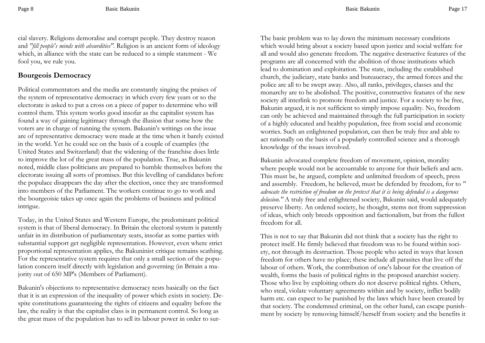cial slavery. Religions demoralise and corrupt people. They destroy reason and *"fill people's minds with absurdities"*. Religion is an ancient form of ideology which, in alliance with the state can be reduced to a simple statement - We fool you, we rule you.

# **Bourgeois Democracy**

Political commentators and the media are constantly singing the praises of the system of representative democracy in which every few years or so the electorate is asked to put a cross on a piece of paper to determine who will control them. This system works good insofar as the capitalist system has found a way of gaining legitimacy through the illusion that some how the voters are in charge of running the system. Bakunin's writings on the issue are of representative democracy were made at the time when it barely existed in the world. Yet he could see on the basis of a couple of examples (the United States and Switzerland) that the widening of the franchise does little to improve the lot of the great mass of the population. True, as Bakunin noted, middle class politicians are prepared to humble themselves before the electorate issuing all sorts of promises. But this levelling of candidates before the populace disappears the day after the election, once they are transformed into members of the Parliament. The workers continue to go to work and the bourgeoisie takes up once again the problems of business and political intrigue.

Today, in the United States and Western Europe, the predominant political system is that of liberal democracy. In Britain the electoral system is patently unfair in its distribution of parliamentary seats, insofar as some parties with substantial support get negligible representation. However, even where strict proportional representation applies, the Bakuninist critique remains scathing. For the representative system requires that only a small section of the population concern itself directly with legislation and governing (in Britain a majority out of 650 MP's (Members of Parliament).

Bakunin's objections to representative democracy rests basically on the fact that it is an expression of the inequality of power which exists in society. Despite constitutions guaranteeing the rights of citizens and equality before the law, the reality is that the capitalist class is in permanent control. So long as the great mass of the population has to sell its labour power in order to surThe basic problem was to lay down the minimum necessary conditions<br>which would bring about a society based upon justice and social well<br>and would also generate freedom. The negative destructive features of the<br>programs ar

ety, not through its destruction. Those people who acted in ways that lessen<br>freedom for others have no place; these include all parasites that live off the<br>labour of others. Work, the contribution of one's labour for the ment by society by removing himself/herself from society and the benefits it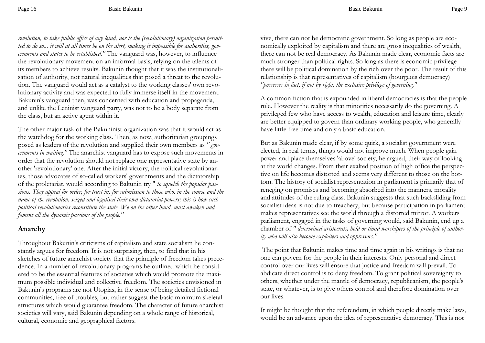*revolution, to take public office of any kind, nor is the (revolutionary) organization permitted to do so... it will at all times be on the alert, making it impossible for authorities, governments and states to be established."* The vanguard was, however, to influence the revolutionary movement on an informal basis, relying on the talents of its members to achieve results. Bakunin thought that it was the institutionalisation of authority, not natural inequalities that posed a threat to the revolution. The vanguard would act as a catalyst to the working classes' own revolutionary activity and was expected to fully immerse itself in the movement. Bakunin's vanguard then, was concerned with education and propaganda, and unlike the Leninist vanguard party, was not to be a body separate from the class, but an active agent within it.

The other major task of the Bakuninist organization was that it would act as the watchdog for the working class. Then, as now, authoritarian groupings posed as leaders of the revolution and supplied their own members as *" governments in waiting."* The anarchist vanguard has to expose such movements in order that the revolution should not replace one representative state by another 'revolutionary' one. After the initial victory, the political revolutionaries, those advocates of so-called workers' governments and the dictatorship of the proletariat, would according to Bakunin try " *to squelch the popular passions. They appeal for order, for trust in, for submission to those who, in the course and the name of the revolution, seized and legalised their own dictatorial powers; this is how such political revolutionaries reconstitute the state. We on the other hand, must awaken and foment all the dynamic passions of the people."*

## **Anarchy**

Throughout Bakunin's criticisms of capitalism and state socialism he constantly argues for freedom. It is not surprising, then, to find that in his sketches of future anarchist society that the principle of freedom takes precedence. In a number of revolutionary programs he outlined which he considered to be the essential features of societies which would promote the maximum possible individual and collective freedom. The societies envisioned in Bakunin's programs are not Utopias, in the sense of being detailed fictional communities, free of troubles, but rather suggest the basic minimum skeletal structures which would guarantee freedom. The character of future anarchist societies will vary, said Bakunin depending on a whole range of historical, cultural, economic and geographical factors.

vive, there can not be democratic government. So long as people are economically exploited by capitalism and there are gross inequalities of wealth, there can not be real democracy. As Bakunin made clear, economic facts are much stronger than political rights. So long as there is economic privilege there will be political domination by the rich over the poor. The result of this relationship is that representatives of capitalism (bourgeois democracy) *"possesses in fact, if not by right, the exclusive privilege of governing."*

A common fiction that is expounded in liberal democracies is that the people rule. However the reality is that minorities necessarily do the governing. A privileged few who have access to wealth, education and leisure time, clearly are better equipped to govern than ordinary working people, who generally have little free time and only a basic education.

But as Bakunin made clear, if by some quirk, a socialist government were elected, in real terms, things would not improve much. When people gain power and place themselves 'above' society, he argued, their way of looking at the world changes. From their exalted position of high office the perspective on life becomes distorted and seems very different to those on the bottom. The history of socialist representation in parliament is primarily that of reneging on promises and becoming absorbed into the manners, morality and attitudes of the ruling class. Bakunin suggests that such backsliding from socialist ideas is not due to treachery, but because participation in parliament makes representatives see the world through a distorted mirror. A workers parliament, engaged in the tasks of governing would, said Bakunin, end up a chamber of *" determined aristocrats, bold or timid worshipers of the principle of authority who will also become exploiters and oppressors."*

 The point that Bakunin makes time and time again in his writings is that no one can govern for the people in their interests. Only personal and direct control over our lives will ensure that justice and freedom will prevail. To abdicate direct control is to deny freedom. To grant political sovereignty to others, whether under the mantle of democracy, republicanism, the people's state, or whatever, is to give others control and therefore domination over our lives.

It might be thought that the referendum, in which people directly make laws, would be an advance upon the idea of representative democracy. This is not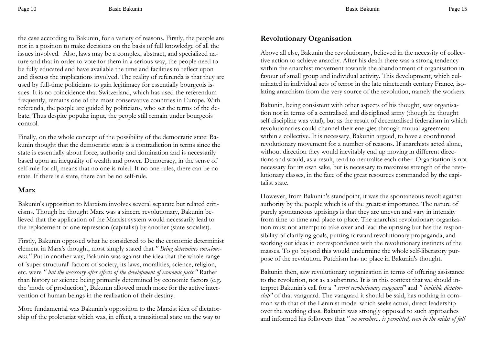the case according to Bakunin, for a variety of reasons. Firstly, the people are not in a position to make decisions on the basis of full knowledge of all the issues involved. Also, laws may be a complex, abstract, and specialized nature and that in order to vote for them in a serious way, the people need to be fully educated and have available the time and facilities to reflect upon and discuss the implications involved. The reality of referenda is that they are used by full-time politicians to gain legitimacy for essentially bourgeois issues. It is no coincidence that Switzerland, which has used the referendum frequently, remains one of the most conservative countries in Europe. With referenda, the people are guided by politicians, who set the terms of the debate. Thus despite popular input, the people still remain under bourgeois control.

Finally, on the whole concept of the possibility of the democratic state: Bakunin thought that the democratic state is a contradiction in terms since the state is essentially about force, authority and domination and is necessarily based upon an inequality of wealth and power. Democracy, in the sense of self-rule for all, means that no one is ruled. If no one rules, there can be no state. If there is a state, there can be no self-rule.

## **Marx**

Bakunin's opposition to Marxism involves several separate but related criticisms. Though he thought Marx was a sincere revolutionary, Bakunin believed that the application of the Marxist system would necessarily lead to the replacement of one repression (capitalist) by another (state socialist).

Firstly, Bakunin opposed what he considered to be the economic determinist element in Marx's thought, most simply stated that *" Being determines consciousness."* Put in another way, Bakunin was against the idea that the whole range of 'super structural' factors of society, its laws, moralities, science, religion, etc. were *" but the necessary after effects of the development of economic facts."* Rather than history or science being primarily determined by economic factors (e.g. the 'mode of production'), Bakunin allowed much more for the active intervention of human beings in the realization of their destiny.

More fundamental was Bakunin's opposition to the Marxist idea of dictatorship of the proletariat which was, in effect, a transitional state on the way to

## **Revolutionary Organisation**

Above all else, Bakunin the revolutionary, believed in the necessity of collective action to achieve anarchy. After his death there was a strong tendency within the anarchist movement towards the abandonment of organisation in favour of small group and individual activity. This development, which culminated in individual acts of terror in the late nineteenth century France, isolating anarchism from the very source of the revolution, namely the workers.

Bakunin, being consistent with other aspects of his thought, saw organisation not in terms of a centralised and disciplined army (though he thought self discipline was vital), but as the result of decentralised federalism in which revolutionaries could channel their energies through mutual agreement within a collective. It is necessary, Bakunin argued, to have a coordinated revolutionary movement for a number of reasons. If anarchists acted alone, without direction they would inevitably end up moving in different directions and would, as a result, tend to neutralise each other. Organisation is not necessary for its own sake, but is necessary to maximise strength of the revolutionary classes, in the face of the great resources commanded by the capitalist state.

However, from Bakunin's standpoint, it was the spontaneous revolt against authority by the people which is of the greatest importance. The nature of purely spontaneous uprisings is that they are uneven and vary in intensity from time to time and place to place. The anarchist revolutionary organization must not attempt to take over and lead the uprising but has the responsibility of clarifying goals, putting forward revolutionary propaganda, and working out ideas in correspondence with the revolutionary instincts of the masses. To go beyond this would undermine the whole self-liberatory purpose of the revolution. Putchism has no place in Bakunin's thought.

Bakunin then, saw revolutionary organization in terms of offering assistance to the revolution, not as a substitute. It is in this context that we should interpret Bakunin's call for a *" secret revolutionary vanguard"* and *" invisible dictatorship"* of that vanguard. The vanguard it should be said, has nothing in common with that of the Leninist model which seeks actual, direct leadership over the working class. Bakunin was strongly opposed to such approaches and informed his followers that *" no member... is permitted, even in the midst of full*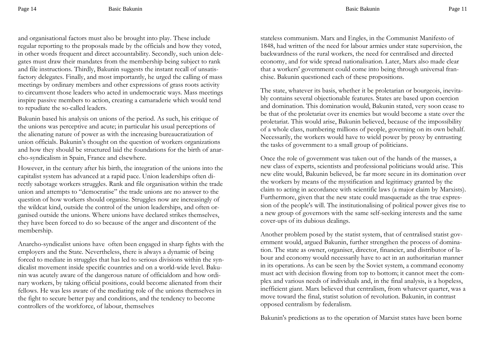and organisational factors must also be brought into play. These include regular reporting to the proposals made by the officials and how they voted, in other words frequent and direct accountability. Secondly, such union delegates must draw their mandates from the membership being subject to rank and file instructions. Thirdly, Bakunin suggests the instant recall of unsatisfactory delegates. Finally, and most importantly, he urged the calling of mass meetings by ordinary members and other expressions of grass roots activity to circumvent those leaders who acted in undemocratic ways. Mass meetings inspire passive members to action, creating a camaraderie which would tend to repudiate the so-called leaders.

Bakunin based his analysis on unions of the period. As such, his critique of the unions was perceptive and acute; in particular his usual perceptions of the alienating nature of power as with the increasing bureaucratization of union officials. Bakunin's thought on the question of workers organizations and how they should be structured laid the foundations for the birth of anarcho-syndicalism in Spain, France and elsewhere.

However, in the century after his birth, the integration of the unions into the capitalist system has advanced at a rapid pace. Union leaderships often directly sabotage workers struggles. Rank and file organisation within the trade union and attempts to "democratise" the trade unions are no answer to the question of how workers should organise. Struggles now are increasingly of the wildcat kind, outside the control of the union leaderships, and often organised outside the unions. Where unions have declared strikes themselves, they have been forced to do so because of the anger and discontent of the membership.

Anarcho-syndicalist unions have often been engaged in sharp fights with the employers and the State. Nevertheless, there is always a dynamic of being forced to mediate in struggles that has led to serious divisions within the syndicalist movement inside specific countries and on a world-wide level. Bakunin was acutely aware of the dangerous nature of officialdom and how ordinary workers, by taking official positions, could become alienated from their fellows. He was less aware of the mediating role of the unions themselves in the fight to secure better pay and conditions, and the tendency to become controllers of the workforce, of labour, themselves

stateless communism. Marx and Engles, in the Communist Manifesto of 1848, had written of the need for labour armies under state supervision, the backwardness of the rural workers, the need for centralised and directed economy, and for wide spread nationalisation. Later, Marx also made clear that a workers' government could come into being through universal franchise. Bakunin questioned each of these propositions.

The state, whatever its basis, whether it be proletarian or bourgeois, inevitably contains several objectionable features. States are based upon coercion and domination. This domination would, Bakunin stated, very soon cease to be that of the proletariat over its enemies but would become a state over the proletariat. This would arise, Bakunin believed, because of the impossibility of a whole class, numbering millions of people, governing on its own behalf. Necessarily, the workers would have to wield power by proxy by entrusting the tasks of government to a small group of politicians.

Once the role of government was taken out of the hands of the masses, a new class of experts, scientists and professional politicians would arise. This new elite would, Bakunin believed, be far more secure in its domination over the workers by means of the mystification and legitimacy granted by the claim to acting in accordance with scientific laws (a major claim by Marxists). Furthermore, given that the new state could masquerade as the true expression of the people's will. The institutionalising of political power gives rise to a new group of governors with the same self-seeking interests and the same cover-ups of its dubious dealings.

Another problem posed by the statist system, that of centralised statist government would, argued Bakunin, further strengthen the process of domination. The state as owner, organiser, director, financier, and distributor of labour and economy would necessarily have to act in an authoritarian manner in its operations. As can be seen by the Soviet system, a command economy must act with decision flowing from top to bottom; it cannot meet the complex and various needs of individuals and, in the final analysis, is a hopeless, inefficient giant. Marx believed that centralism, from whatever quarter, was a move toward the final, statist solution of revolution. Bakunin, in contrast opposed centralism by federalism.

Bakunin's predictions as to the operation of Marxist states have been borne